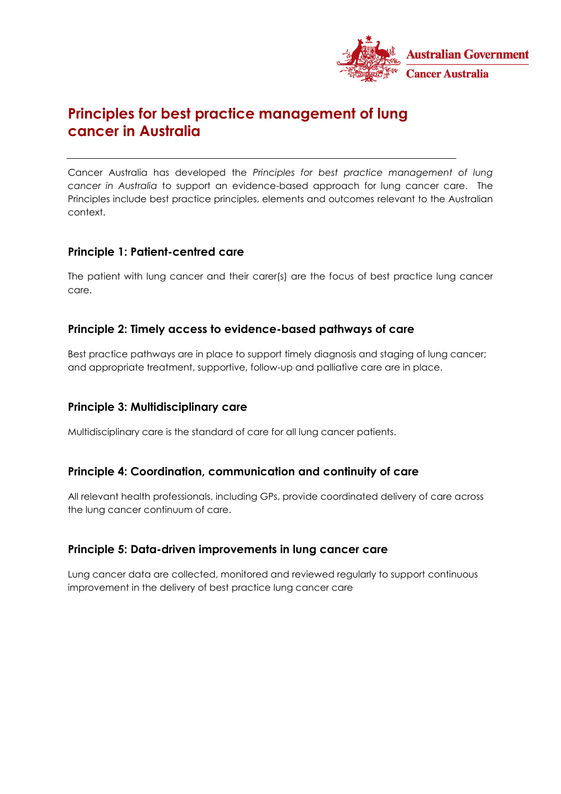

# **Principles for best practice management of lung cancer in Australia**

Cancer Australia has developed the *Principles for best practice management of lung cancer in Australia* to support an evidence-based approach for lung cancer care. The Principles include best practice principles, elements and outcomes relevant to the Australian context.

## **Principle 1: Patient-centred care**

The patient with lung cancer and their carer(s) are the focus of best practice lung cancer care.

## **Principle 2: Timely access to evidence-based pathways of care**

Best practice pathways are in place to support timely diagnosis and staging of lung cancer; and appropriate treatment, supportive, follow-up and palliative care are in place.

## **Principle 3: Multidisciplinary care**

Multidisciplinary care is the standard of care for all lung cancer patients.

## **Principle 4: Coordination, communication and continuity of care**

All relevant health professionals, including GPs, provide coordinated delivery of care across the lung cancer continuum of care.

## **Principle 5: Data-driven improvements in lung cancer care**

Lung cancer data are collected, monitored and reviewed regularly to support continuous improvement in the delivery of best practice lung cancer care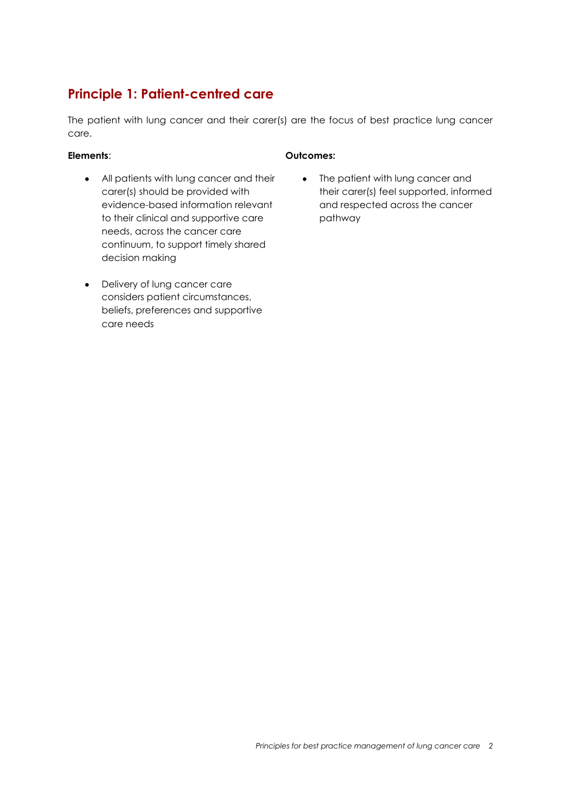# **Principle 1: Patient-centred care**

The patient with lung cancer and their carer(s) are the focus of best practice lung cancer care.

- All patients with lung cancer and their carer(s) should be provided with evidence-based information relevant to their clinical and supportive care needs, across the cancer care continuum, to support timely shared decision making
- Delivery of lung cancer care considers patient circumstances, beliefs, preferences and supportive care needs

## **Elements**: **Outcomes:**

• The patient with lung cancer and their carer(s) feel supported, informed and respected across the cancer pathway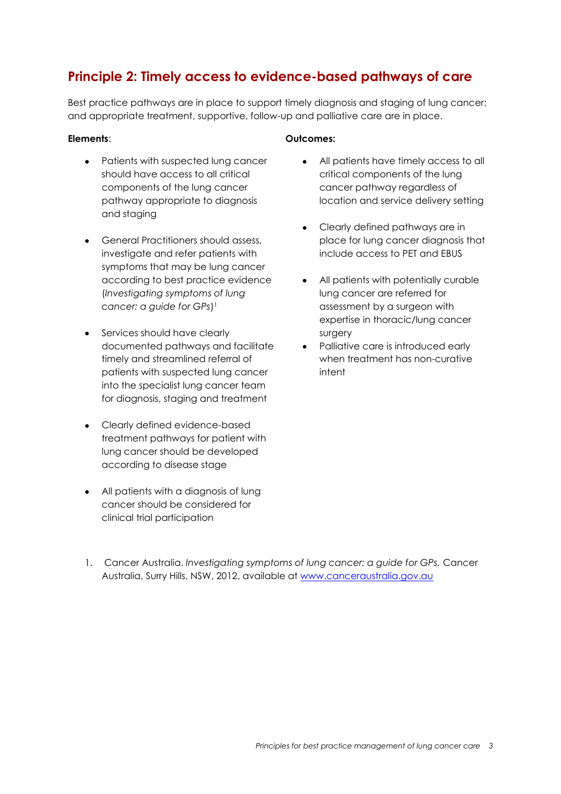# **Principle 2: Timely access to evidence-based pathways of care**

Best practice pathways are in place to support timely diagnosis and staging of lung cancer; and appropriate treatment, supportive, follow-up and palliative care are in place.

- Patients with suspected lung cancer should have access to all critical components of the lung cancer pathway appropriate to diagnosis and staging
- General Practitioners should assess, investigate and refer patients with symptoms that may be lung cancer according to best practice evidence (*Investigating symptoms of lung cancer: a guide for GPs*) 1
- Services should have clearly documented pathways and facilitate timely and streamlined referral of patients with suspected lung cancer into the specialist lung cancer team for diagnosis, staging and treatment
- Clearly defined evidence-based treatment pathways for patient with lung cancer should be developed according to disease stage
- All patients with a diagnosis of lung cancer should be considered for clinical trial participation

### **Elements**: **Outcomes:**

- All patients have timely access to all critical components of the lung cancer pathway regardless of location and service delivery setting
- Clearly defined pathways are in place for lung cancer diagnosis that include access to PET and EBUS
- All patients with potentially curable lung cancer are referred for assessment by a surgeon with expertise in thoracic/lung cancer surgery
- Palliative care is introduced early when treatment has non-curative intent

1. Cancer Australia. *Investigating symptoms of lung cancer: a guide for GPs.* Cancer Australia, Surry Hills, NSW, 2012, available at [www.canceraustralia.gov.au](http://www.canceraustralia.gov.au/)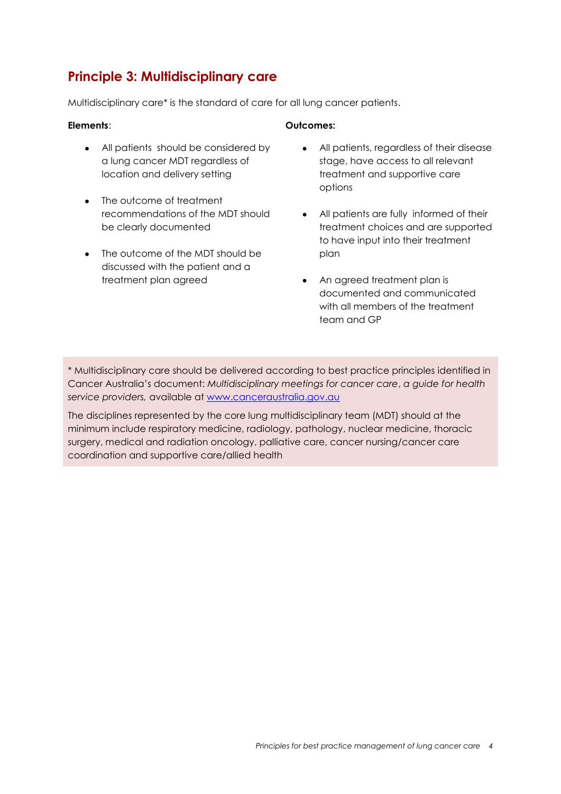# **Principle 3: Multidisciplinary care**

Multidisciplinary care\* is the standard of care for all lung cancer patients.

- All patients should be considered by a lung cancer MDT regardless of location and delivery setting
- The outcome of treatment recommendations of the MDT should be clearly documented
- The outcome of the MDT should be discussed with the patient and a treatment plan agreed

### **Elements**: **Outcomes:**

- All patients, regardless of their disease stage, have access to all relevant treatment and supportive care options
- All patients are fully informed of their treatment choices and are supported to have input into their treatment plan
- An agreed treatment plan is documented and communicated with all members of the treatment team and GP

\* Multidisciplinary care should be delivered according to best practice principles identified in Cancer Australia's document: *Multidisciplinary meetings for cancer care*, *a guide for health service providers,* available at [www.canceraustralia.gov.au](http://www.canceraustralia.gov.au/)

The disciplines represented by the core lung multidisciplinary team (MDT) should at the minimum include respiratory medicine, radiology, pathology, nuclear medicine, thoracic surgery, medical and radiation oncology, palliative care, cancer nursing/cancer care coordination and supportive care/allied health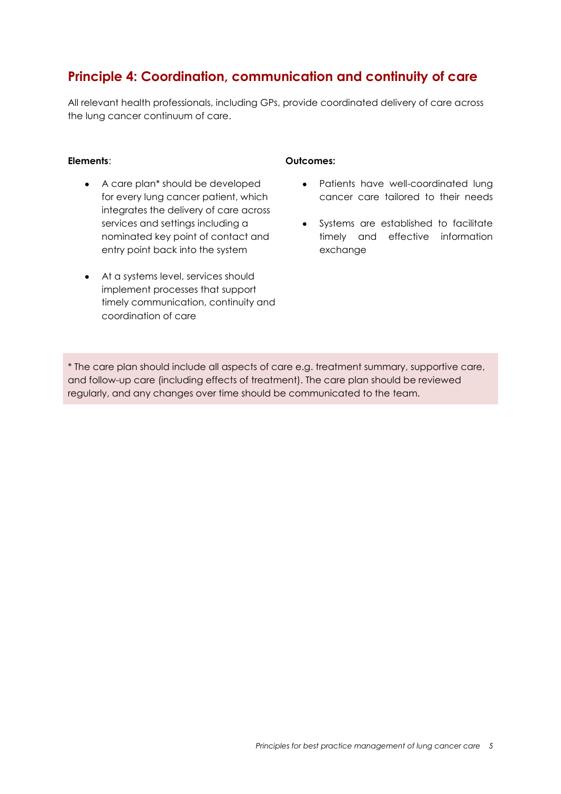# **Principle 4: Coordination, communication and continuity of care**

All relevant health professionals, including GPs, provide coordinated delivery of care across the lung cancer continuum of care.

- A care plan\* should be developed for every lung cancer patient, which integrates the delivery of care across services and settings including a nominated key point of contact and entry point back into the system
- At a systems level, services should implement processes that support timely communication, continuity and coordination of care

### **Elements**: **Outcomes:**

- Patients have well-coordinated lung cancer care tailored to their needs
- Systems are established to facilitate timely and effective information exchange

\* The care plan should include all aspects of care e.g. treatment summary, supportive care, and follow-up care (including effects of treatment). The care plan should be reviewed regularly, and any changes over time should be communicated to the team.